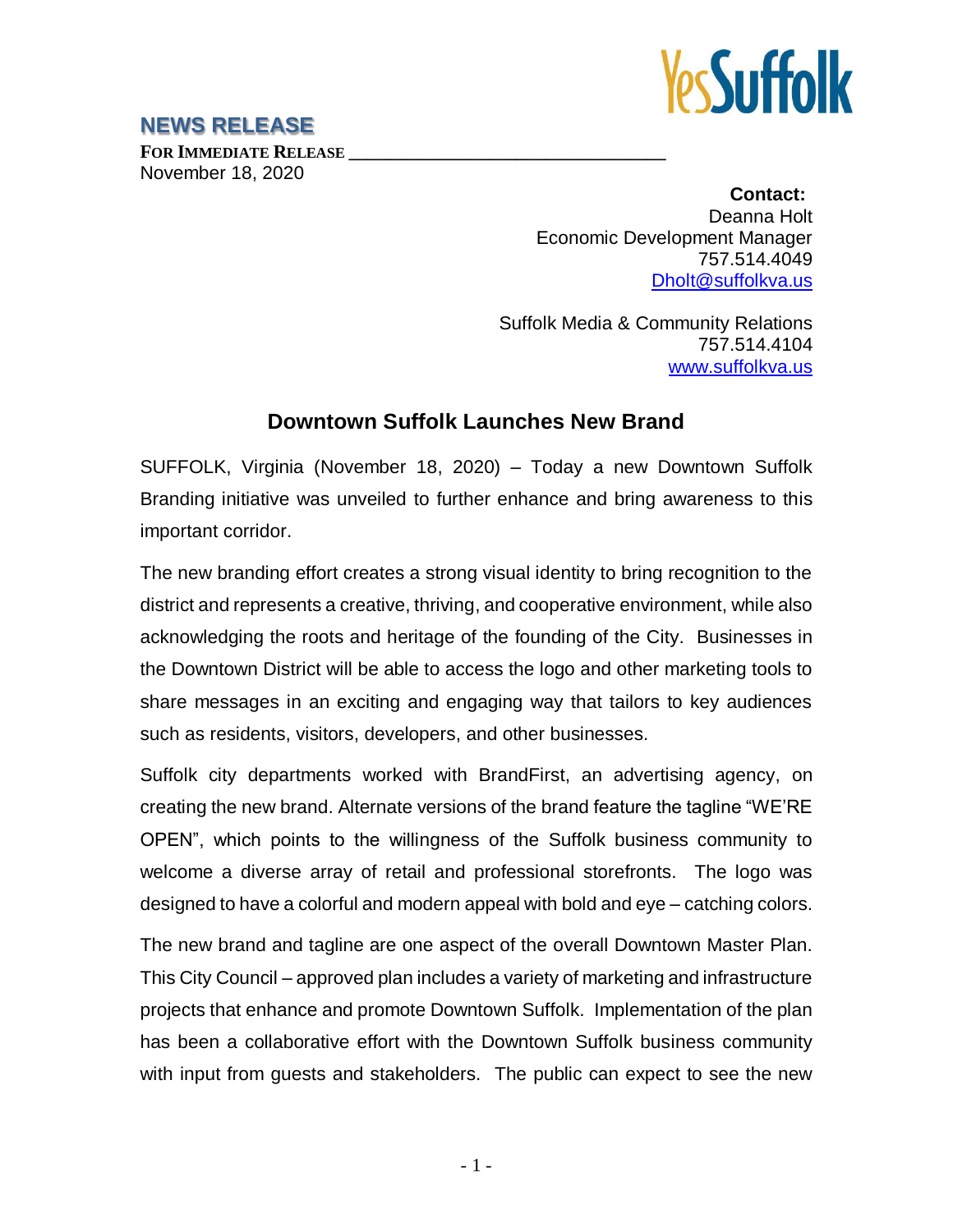

## **NEWS RELEASE**

**FOR IMMEDIATE RELEASE \_\_\_\_\_\_\_\_\_\_\_\_\_\_\_\_\_\_\_\_\_\_\_\_\_\_\_\_\_\_\_\_\_\_** November 18, 2020

**Contact:** Deanna Holt Economic Development Manager 757.514.4049 [Dholt@suffolkva.us](mailto:Dholt@suffolkva.us)

Suffolk Media & Community Relations 757.514.4104 [www.suffolkva.us](http://www.suffolkva.us/)

## **Downtown Suffolk Launches New Brand**

SUFFOLK, Virginia (November 18, 2020) – Today a new Downtown Suffolk Branding initiative was unveiled to further enhance and bring awareness to this important corridor.

The new branding effort creates a strong visual identity to bring recognition to the district and represents a creative, thriving, and cooperative environment, while also acknowledging the roots and heritage of the founding of the City. Businesses in the Downtown District will be able to access the logo and other marketing tools to share messages in an exciting and engaging way that tailors to key audiences such as residents, visitors, developers, and other businesses.

Suffolk city departments worked with BrandFirst, an advertising agency, on creating the new brand. Alternate versions of the brand feature the tagline "WE'RE OPEN", which points to the willingness of the Suffolk business community to welcome a diverse array of retail and professional storefronts. The logo was designed to have a colorful and modern appeal with bold and eye – catching colors.

The new brand and tagline are one aspect of the overall Downtown Master Plan. This City Council – approved plan includes a variety of marketing and infrastructure projects that enhance and promote Downtown Suffolk. Implementation of the plan has been a collaborative effort with the Downtown Suffolk business community with input from guests and stakeholders. The public can expect to see the new